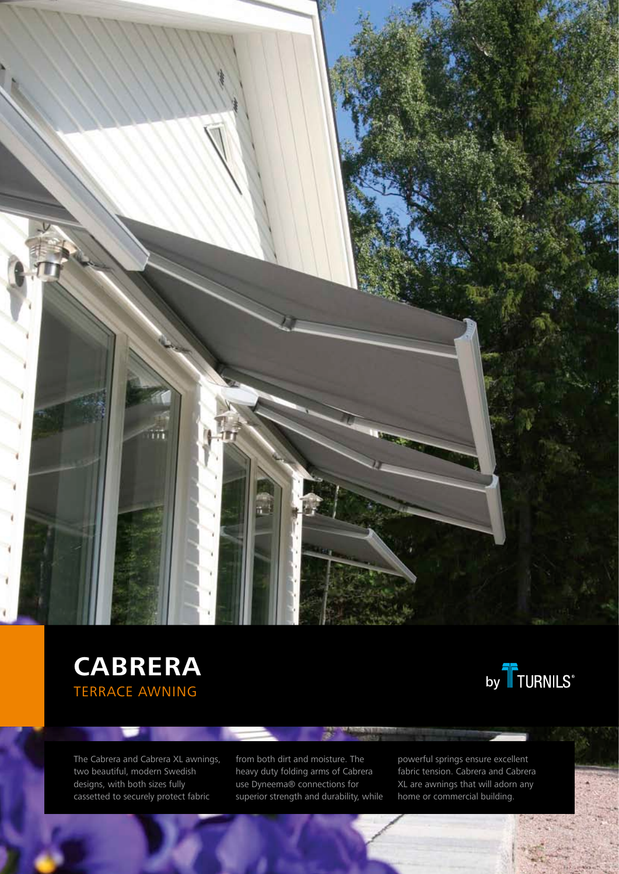

# CABRERA<br>
FERRACE ANALING Terrace Awning



The Cabrera and Cabrera XL awnings, two beautiful, modern Swedish designs, with both sizes fully cassetted to securely protect fabric

▬

from both dirt and moisture. The heavy duty folding arms of Cabrera use Dyneema® connections for superior strength and durability, while

powerful springs ensure excellent fabric tension. Cabrera and Cabrera XL are awnings that will adorn any home or commercial building.